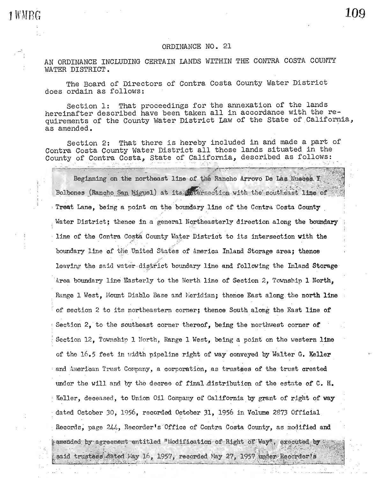#### ORDINANCE NO. 21

109

AN ORDINANCE INCLUDING CERTAIN LANDS WITHIN THE CONTRA COSTA COUNTY WATER DISTRICT.

1 WMRG

The Board of Directors of Contra Costa County Water District does ordain as follows:

That proceedings for the annexation of the lands Section 1: hereinafter described have been taken all in accordance with the requirements of the County Water District Law of the State of California, as amended.

That there is hereby included in and made a part of Section 2: Contra Costa County Water District all those lands situated in the County of Contra Costa, State of California, described as follows:

Beginning on the northeast line of the Rancho Arrovo De Laa Hueces Y. Bolbones (Rancho San Miguel) at its streegther with the southeast line of Treat Lane, being a point on the boundary line of the Contra Costa County Water District; thence in a general Northeasterly direction along the boundary line of the Contra Costa County Water District to its intersection with the boundary line of the United States of America Inland Storage area; thence leaving the said water district boundary line and following the Inland Storage Area boundary line Easterly to the North line of Section 2. Township 1 North, Range 1 West, Mount Diablo Base and Meridian; thence East along the north line of section 2 to its northeastern corner; thence South along the East line of Section 2. to the southeast corner thereof. being the northwest corner of Section 12, Township 1 North, Range 1 West, being a point on the western line of the 16.5 feet in width pipeline right of way conveyed by Walter G. Keller and American Trust Company, a corporation, as trustees of the trust created under the will and by the decree of final distribution of the estate of C. H. Keller, deceased, to Union Oil Company of California by grant of right of way dated October 30, 1956, recorded October 31, 1956 in Volume 2873 Official Records, page 244, Recorder's Office of Contra Costa County, as modified and amended by agreement entitled "Modification of Right of Way", executed by said trustees dated May 16, 1957, recorded May 27, 1957 under Recorder's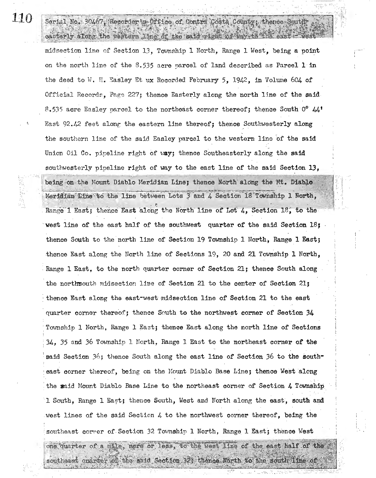### 110

Serial No. 30467, Recorder B-Office of Contra Costa County; thence South-

midsection line of Section 13, Township 1 North, Range 1 West, being a point on the north line of the 8.535 acre parcel of land described as Parcel 1 in the deed to W. H. Easley Et ux Recorded February 5, 1942, in Volume 604 of Official Records, Page 227; thence Easterly along the north line of the said 8.535 acre Easley parcel to the northeast corner thereof; thence South  $0^{\circ}$  44' East 92.42 feet along the eastern line thereof; thence Southwesterly along the southern line of the said Easley parcel to the western line of the said Union Oil Co. pipeline right of way; thence Southeasterly along the said southwesterly pipeline right of way to the east line of the said Section 13. being on the Mount Diablo Meridian Line; thence North along the Mt. Diablo Meridian Line to the line between Lots 3 and 4 Section 18 Township 1 North, Range 1 East; thence East along the North line of Lot 4, Section 18, to the west line of the east half of the southwest quarter of the said Section  $18f$ thence South to the north line of Section 19 Township 1 North, Range 1 East; thence East along the North line of Sections 19, 20 and 21 Township 1 North, Range 1 East, to the north quarter corner of Section 21; thence South along the northrouth midsection line of Section 21 to the center of Section 21; thence East along the east-west midsection line of Section 21 to the east quarter corner thereof; thence South to the northwest corner of Section 34 Township 1 North, Range 1 East; thence East along the north line of Sections 34, 35 and 36 Township 1 North, Range 1 East to the northeast corner of the said Section 36; thence South along the east line of Section 36 to the southeast corner thereof, being on the Mount Diablo Base Line; thence West along the maid Mount Diablo Base Line to the northeast corner of Section 4 Township 1 South. Range 1 East; thence South. West and North along the east. south and west lines of the said Section 4 to the northwest corner thereof, being the southeast corner of Section 32 Township 1 North, Range 1 East; thence West

casterly along the western line of the said right of any 18 find east = west

one quarter of a mile, more or less, to the west line of the east half of the southeast onarier of the said Section 32; thence North to the south line of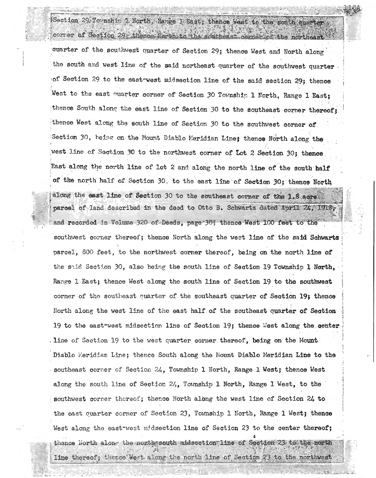## Section 29 To nship 1 North, Range 1 East, thence West to the south quarter corner of Section 29: thence North to the southeast corner of the northeast

quarter of the southwest quarter of Section 29; thence West and North along the south and west line of the said northeast quarter of the southwest quarter of Section 29 to the east west midsection line of the said section 29; thence West to the east quarter corner of Section 30 Township 1 North, Range 1 East; thence South along the east line of Section 30 to the southeast corner thereof; thence West along the south line of Section 30 to the southwest corner of Section 30, being on the Mount Diablo Meridian Line; thence North along the west line of Section 30 to the northwest corner of Lot 2 Section 30; thence East along the north line of lot 2 and along the north line of the south half of the north half of Section 30, to the east line of Section 30; thence North along the east line of Section 30 to the southeast corner of the 1.8 acres parcel of land described in the deed to Otto B. Schwartz dated April 24, 1918, and recorded in Volume 320 of-Deeds, page 30; thence West 100 feet to the southwest corner thereof; thence North along the west line of the said Schwartz parcel, 800 feet, to the northwest corner thereof, being on the north line of the said Section 30, also being the south line of Section 19 Township 1 North. Range 1 East; thence West along the south line of Section 19 to the southwest corner of the southeast quarter of the southeast quarter of Section 19; thence North along the west line of the east half of the southeast quarter of Section 19 to the east-west midsection line of Section 19; thence West along the center line of Saction 19 to the west quarter corner thereof, being on the Mount. Diablo Meridian Line; thence South along the Mount Diablo Meridian Line to the southeast corner of Section 24, Township 1 North, Range 1 West; thence West along the south line of Section 24, Township 1 North, Range 1 West, to the southwest corner thereof; thence North along the west line of Section 24 to the east cuarter corner of Section 23, Township 1 North, Range 1 West; thence West along the east-west midsection line of Section 23 to the center thereof; thence North along the north south midsection line of Section 23 to the north line thereof; thence West along the north line of Section 23 to the northwest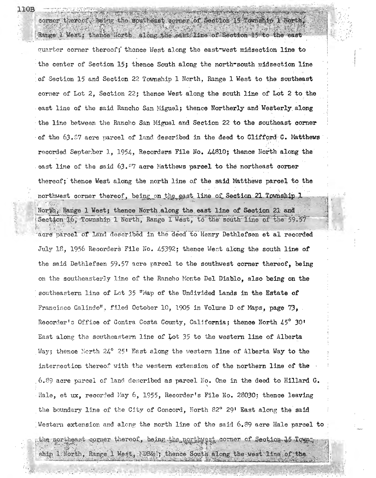# corner thereof, being the southeast corner of Section 15 Township 1 North,

Range I West; thence North along the east line of Section 15 to the east quarter corner thereof; thence West along the east-west midsection line to the center of Section 15; thence South along the north-south midgection line of Section 15 and Section 22 Township 1 North, Range 1 West to the southeast corner of Lot 2. Section 22; thence West along the south line of Lot 2 to the east line of the said Rancho San Miguel; thence Northerly and Westerly along the line between the Rancho San Miguel and Section 22 to the southeast corner of the  $63.57$  acre parcel of land described in the deed to Clifford C. Matthews recorded September 1, 1954, Recorders File No. 44810; thence North along the east line of the said  $63.97$  acre Matthews parcel to the northeast corner thereof; thence West along the north line of the said Matthews parcel to the northwest corner thereof, being on the east line of Section 21 Township 1 North, Range 1 West; thence North along the east line of Section 21 and Section 16, Township 1 North, Range 1 West, to the south line of the 59.57 acre parcel of land described in the deed to Henry Dethlefsen et al recorded July 18, 1956 Recorders File No. 45392; thence West along the south line of the said Dethlefsen 59.57 acre parcel to the southwest corner thereof, being on the southeasterly line of the Rancho Monte Del Diablo, also being on the southeastern line of Lot 35 "Map of the Undivided Lands in the Estate of Francisco Galindo", filed October 10, 1905 in Volume D of Maps, page 73. Recorder's Office of Contra Costa County, California; thence North 45° 30' East along the southeastern line of Lot 35 to the western line of Alberta Way; thence North 24° 25' East along the western line of Alberta Way to the intersection thereof with the western extension of the northern line of the 6.89 acre parcel of land described as parcel No. One in the deed to Hillard  $G$ . Hale, et ux, recorded May 6, 1955, Recorder's File No. 28030; thence leaving the boundary line of the City of Concord, North 82° 29' East along the said Western extension and along the north line of the said 6.89 acre Hale parcel to  $_2$ the northeast corner thereof, being the northwest corner of Section 15 Town.

ship 1 North, Range 1 Mest, NDB&S; thence South along the west line of the

110B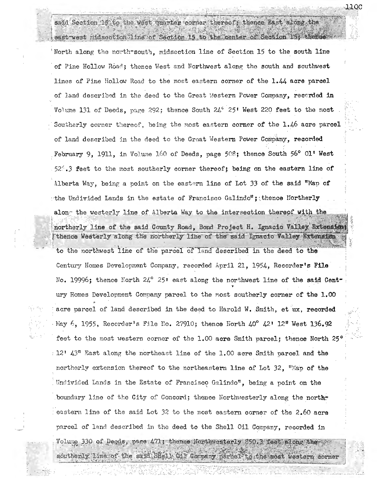said Section 15 to the west quarter corner thereof, thence East along the east west midscotion line of Section 15 to the center of Section 15; thence

11.QC

North along the north-south, midsection line of Section 15 to the south line of Pine Hollow Road; thence West and Northwest along the south and southwest lines of Pine Hollow Road to the most eastern corner of the 1.44 acre parcel of land described in the deed to the Great Mestern Power Company, recorded in Volume 131 of Deeds, page 292; thence South 24° 25' West 220 feet to the most Southerly corner thereof, being the most eastern corner of the 1.46 acre parcel of land described in the deed to the Graat Western Power Company, recorded February 9, 1911, in Volume 160 of Deeds, page 508; thence South 56° Ol' West 52%.3 feet to the most southerly corner thereof; being on the eastern line of Alberta Way, being a point on the eastern line of Lot 33 of the said "Map of the Undivided Lands in the estate of Francisco Galindo"; thence Hortherly along the westerly line of Alberta Way to the intersection thereof with the northerly line of the said County Road, Bond Project H. Ignacio Valley Extension thence Westerly along the northerly line of the said Ignacio Valley Extension to the northwest line of the parcel of land described in the deed to the Century Homes Development Company, recorded April 21, 1954. Recorder's File No. 19996; thence North 24° 25' east along the northwest line of the said Century Homes Development Company parcel to the most southerly corner of the 1.00 acre parcel of land described in the deed to Harold W. Smith, et ux, recorded May 6, 1955, Recorder's File No. 27910; thence North  $40^{\circ}$   $42$ \* 12\* West 136.92 feet to the most western corner of the 1.00 acre Smith parcel; thence North 25 : 12' 43" East along the northeast line of the 1.00 acre Smith parcel and the northerly extension thereof to the northeastern line of Lot 32, "Map of the Undivided Lands in the Estate of Francisco Galindo", being a point on the boundary line of the City of Concord; thence Northwesterly along the northeastern line of the said Lot 32 to the most eastern corner of the 2.60 acre parcel of land described in the deed to the Shell Oil Company, recorded in

Volume 330 of Deeds, page 471; thence Northwesterly 350.3 feet along the

southerly line of the said Shell Oil Corpary parcel to the most western corner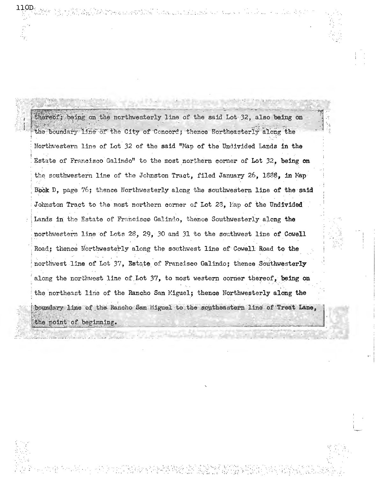thereof; being on the northwesterly line of the said Lot 32, also being on the boundary line of the City of Concord; thence Northeasterly along the Northwestern line of Lot 32 of the said "Map of the Undivided Lands in the Estate of Francisco Galindo" to the most northern corner of Lot 32. being on the southwestern line of the Johnston Tract, filed January 26, 1888, in Map Book D. page 76; thence Northwesterly along the southwestern line of the said Johnston Tract to the most northern corner of Lot 23, Map of the Undivided Lands in the Estate of Francisco Galindo, thence Southwesterly along the northwestern line of Lots 28, 29, 30 and 31 to the southwest line of Cowell Road; thence Northwesterly along the southwest line of Cowell Road to the northwest line of Lot 37, Estate of Francisco Galindo; thence Southwesterly along the northwest line of Lot 37, to most western corner thereof, being on the northeast line of the Rancho San Miguel; thence Northwesterly along the boundary line of the Rancho San Higuel to the southeastern line of Treat Lane, the point of beginning.

11.OD.